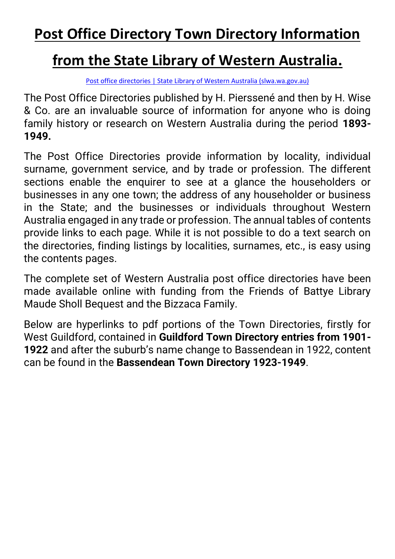## **Post Office Directory Town Directory Information**

## **from the State Library of Western Australia.**

[Post office directories | State Library of Western Australia \(slwa.wa.gov.au\)](https://slwa.wa.gov.au/collections/collections/post-office-directories)

The Post Office Directories published by H. Pierssené and then by H. Wise & Co. are an invaluable source of information for anyone who is doing family history or research on Western Australia during the period **1893- 1949.**

The Post Office Directories provide information by locality, individual surname, government service, and by trade or profession. The different sections enable the enquirer to see at a glance the householders or businesses in any one town; the address of any householder or business in the State; and the businesses or individuals throughout Western Australia engaged in any trade or profession. The annual tables of contents provide links to each page. While it is not possible to do a text search on the directories, finding listings by localities, surnames, etc., is easy using the contents pages.

The complete set of Western Australia post office directories have been made available online with funding from the Friends of Battye Library Maude Sholl Bequest and the Bizzaca Family.

Below are hyperlinks to pdf portions of the Town Directories, firstly for West Guildford, contained in **Guildford Town Directory entries from 1901- 1922** and after the suburb's name change to Bassendean in 1922, content can be found in the **Bassendean Town Directory 1923-1949**.